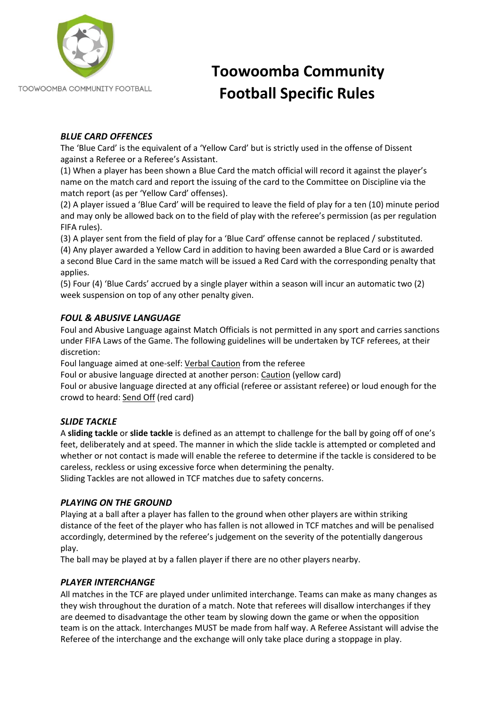

TOOWOOMBA COMMUNITY FOOTBALL

# **Toowoomba Community Football Specific Rules**

## *BLUE CARD OFFENCES*

The 'Blue Card' is the equivalent of a 'Yellow Card' but is strictly used in the offense of Dissent against a Referee or a Referee's Assistant.

(1) When a player has been shown a Blue Card the match official will record it against the player's name on the match card and report the issuing of the card to the Committee on Discipline via the match report (as per 'Yellow Card' offenses).

(2) A player issued a 'Blue Card' will be required to leave the field of play for a ten (10) minute period and may only be allowed back on to the field of play with the referee's permission (as per regulation FIFA rules).

(3) A player sent from the field of play for a 'Blue Card' offense cannot be replaced / substituted. (4) Any player awarded a Yellow Card in addition to having been awarded a Blue Card or is awarded a second Blue Card in the same match will be issued a Red Card with the corresponding penalty that applies.

(5) Four (4) 'Blue Cards' accrued by a single player within a season will incur an automatic two (2) week suspension on top of any other penalty given.

## *FOUL & ABUSIVE LANGUAGE*

Foul and Abusive Language against Match Officials is not permitted in any sport and carries sanctions under FIFA Laws of the Game. The following guidelines will be undertaken by TCF referees, at their discretion:

Foul language aimed at one-self: Verbal Caution from the referee

Foul or abusive language directed at another person: Caution (yellow card)

Foul or abusive language directed at any official (referee or assistant referee) or loud enough for the crowd to heard: Send Off (red card)

## *SLIDE TACKLE*

A **sliding tackle** or **slide tackle** is defined as an attempt to challenge for the ball by going off of one's feet, deliberately and at speed. The manner in which the slide tackle is attempted or completed and whether or not contact is made will enable the referee to determine if the tackle is considered to be careless, reckless or using excessive force when determining the penalty.

Sliding Tackles are not allowed in TCF matches due to safety concerns.

## *PLAYING ON THE GROUND*

Playing at a ball after a player has fallen to the ground when other players are within striking distance of the feet of the player who has fallen is not allowed in TCF matches and will be penalised accordingly, determined by the referee's judgement on the severity of the potentially dangerous play.

The ball may be played at by a fallen player if there are no other players nearby.

## *PLAYER INTERCHANGE*

All matches in the TCF are played under unlimited interchange. Teams can make as many changes as they wish throughout the duration of a match. Note that referees will disallow interchanges if they are deemed to disadvantage the other team by slowing down the game or when the opposition team is on the attack. Interchanges MUST be made from half way. A Referee Assistant will advise the Referee of the interchange and the exchange will only take place during a stoppage in play.